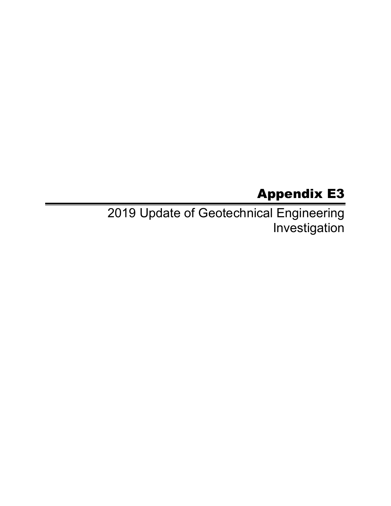## Appendix E3

2019 Update of Geotechnical Engineering Investigation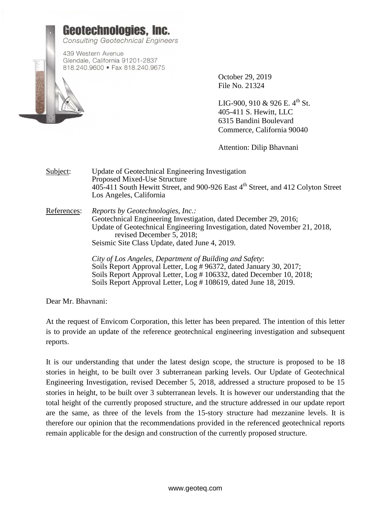

October 29, 2019 File No. 21324

LIG-900, 910 & 926 E,  $4^{th}$  St. 405-411 S. Hewitt, LLC 6315 Bandini Boulevard Commerce, California 90040

Attention: Dilip Bhavnani

Subject: Update of Geotechnical Engineering Investigation Proposed Mixed-Use Structure 405-411 South Hewitt Street, and 900-926 East 4<sup>th</sup> Street, and 412 Colyton Street Los Angeles, California

References: *Reports by Geotechnologies, Inc.:* Geotechnical Engineering Investigation, dated December 29, 2016; Update of Geotechnical Engineering Investigation, dated November 21, 2018, revised December 5, 2018; Seismic Site Class Update, dated June 4, 2019.

> *City of Los Angeles, Department of Building and Safety*: Soils Report Approval Letter, Log # 96372, dated January 30, 2017; Soils Report Approval Letter, Log # 106332, dated December 10, 2018; Soils Report Approval Letter, Log # 108619, dated June 18, 2019.

Dear Mr. Bhavnani:

At the request of Envicom Corporation, this letter has been prepared. The intention of this letter is to provide an update of the reference geotechnical engineering investigation and subsequent reports.

It is our understanding that under the latest design scope, the structure is proposed to be 18 stories in height, to be built over 3 subterranean parking levels. Our Update of Geotechnical Engineering Investigation, revised December 5, 2018, addressed a structure proposed to be 15 stories in height, to be built over 3 subterranean levels. It is however our understanding that the total height of the currently proposed structure, and the structure addressed in our update report are the same, as three of the levels from the 15-story structure had mezzanine levels. It is therefore our opinion that the recommendations provided in the referenced geotechnical reports remain applicable for the design and construction of the currently proposed structure.